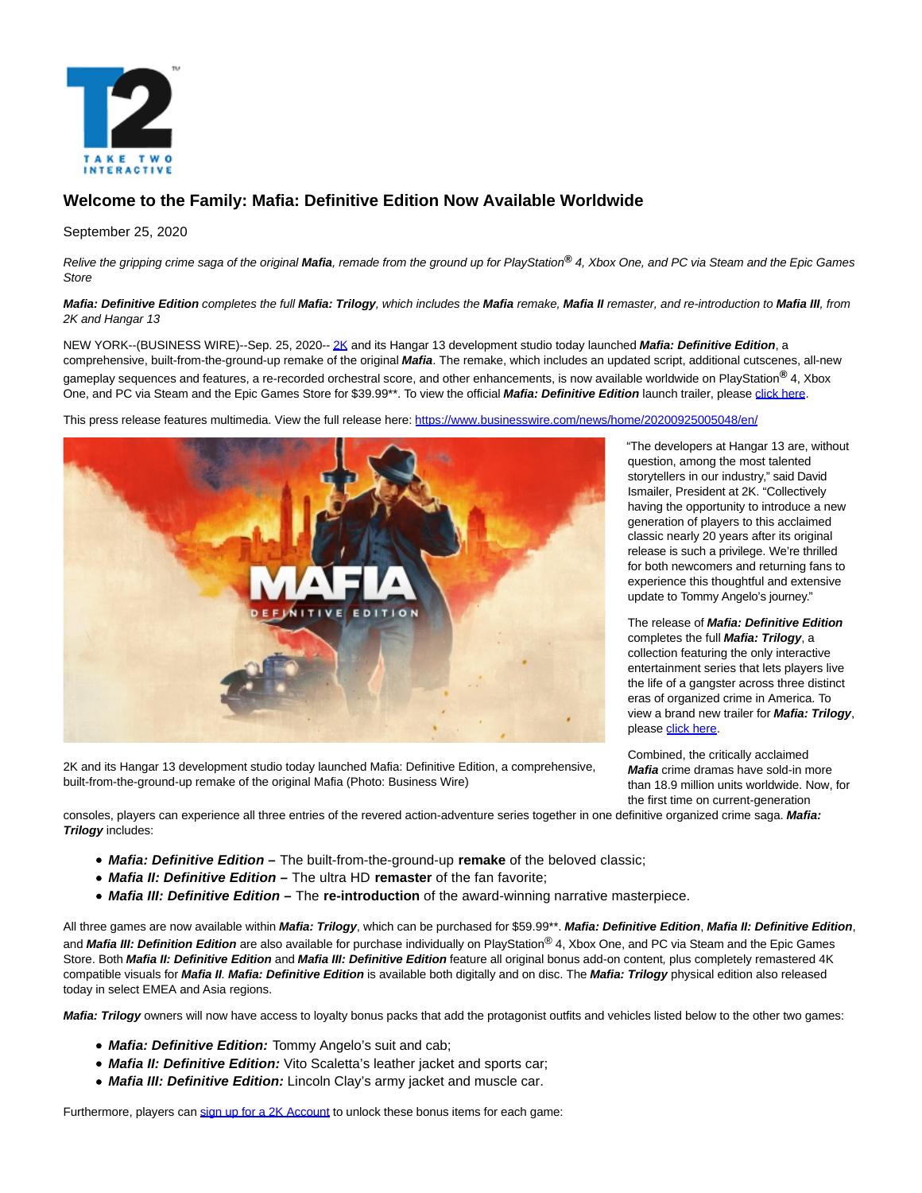

# **Welcome to the Family: Mafia: Definitive Edition Now Available Worldwide**

## September 25, 2020

Relive the gripping crime saga of the original **Mafia**, remade from the ground up for PlayStation**®** 4, Xbox One, and PC via Steam and the Epic Games Store

**Mafia: Definitive Edition** completes the full **Mafia: Trilogy**, which includes the **Mafia** remake, **Mafia II** remaster, and re-introduction to **Mafia III**, from 2K and Hangar 13

NEW YORK--(BUSINESS WIRE)--Sep. 25, 2020-[- 2K a](https://cts.businesswire.com/ct/CT?id=smartlink&url=https%3A%2F%2F2k.com%2F&esheet=52293829&newsitemid=20200925005048&lan=en-US&anchor=2K&index=1&md5=0095b4395ed09acd37c31194efdc7a14)nd its Hangar 13 development studio today launched **Mafia: Definitive Edition**, a comprehensive, built-from-the-ground-up remake of the original **Mafia**. The remake, which includes an updated script, additional cutscenes, all-new gameplay sequences and features, a re-recorded orchestral score, and other enhancements, is now available worldwide on PlayStation**®** 4, Xbox One, and PC via Steam and the Epic Games Store for \$39.99\*\*. To view the official **Mafia: Definitive Edition** launch trailer, please [click here.](https://cts.businesswire.com/ct/CT?id=smartlink&url=https%3A%2F%2Fyoutu.be%2FVHhnGQmqnJU&esheet=52293829&newsitemid=20200925005048&lan=en-US&anchor=click+here&index=2&md5=a9dc379e5e587f403906462d5e2c29a8)

This press release features multimedia. View the full release here:<https://www.businesswire.com/news/home/20200925005048/en/>



2K and its Hangar 13 development studio today launched Mafia: Definitive Edition, a comprehensive, built-from-the-ground-up remake of the original Mafia (Photo: Business Wire)

"The developers at Hangar 13 are, without question, among the most talented storytellers in our industry," said David Ismailer, President at 2K. "Collectively having the opportunity to introduce a new generation of players to this acclaimed classic nearly 20 years after its original release is such a privilege. We're thrilled for both newcomers and returning fans to experience this thoughtful and extensive update to Tommy Angelo's journey."

The release of **Mafia: Definitive Edition** completes the full **Mafia: Trilogy**, a collection featuring the only interactive entertainment series that lets players live the life of a gangster across three distinct eras of organized crime in America. To view a brand new trailer for **Mafia: Trilogy**, please [click here.](https://cts.businesswire.com/ct/CT?id=smartlink&url=https%3A%2F%2Fyoutu.be%2FDdTMWM1rtAY&esheet=52293829&newsitemid=20200925005048&lan=en-US&anchor=click+here&index=3&md5=ba4faf8703a255d71337019feaaaaf31)

Combined, the critically acclaimed **Mafia** crime dramas have sold-in more than 18.9 million units worldwide. Now, for the first time on current-generation

consoles, players can experience all three entries of the revered action-adventure series together in one definitive organized crime saga. **Mafia: Trilogy** includes:

- **Mafia: Definitive Edition** The built-from-the-ground-up **remake** of the beloved classic;
- **Mafia II: Definitive Edition** The ultra HD **remaster** of the fan favorite;
- **Mafia III: Definitive Edition** The **re-introduction** of the award-winning narrative masterpiece.

All three games are now available within **Mafia: Trilogy**, which can be purchased for \$59.99\*\*. **Mafia: Definitive Edition**, **Mafia II: Definitive Edition**, and **Mafia III: Definition Edition** are also available for purchase individually on PlayStation® 4, Xbox One, and PC via Steam and the Epic Games Store. Both **Mafia II: Definitive Edition** and **Mafia III: Definitive Edition** feature all original bonus add-on content, plus completely remastered 4K compatible visuals for **Mafia II**. **Mafia: Definitive Edition** is available both digitally and on disc. The **Mafia: Trilogy** physical edition also released today in select EMEA and Asia regions.

Mafia: Trilogy owners will now have access to loyalty bonus packs that add the protagonist outfits and vehicles listed below to the other two games:

- **Mafia: Definitive Edition:** Tommy Angelo's suit and cab;
- **Mafia II: Definitive Edition:** Vito Scaletta's leather jacket and sports car;
- **Mafia III: Definitive Edition:** Lincoln Clay's army jacket and muscle car.

Furthermore, players can [sign up for a 2K Account t](https://cts.businesswire.com/ct/CT?id=smartlink&url=https%3A%2F%2Faccounts.2k.com%2Fsignup&esheet=52293829&newsitemid=20200925005048&lan=en-US&anchor=sign+up+for+a+2K+Account&index=4&md5=d7c1d311dd44be4695a9e9839e5dd26c)o unlock these bonus items for each game: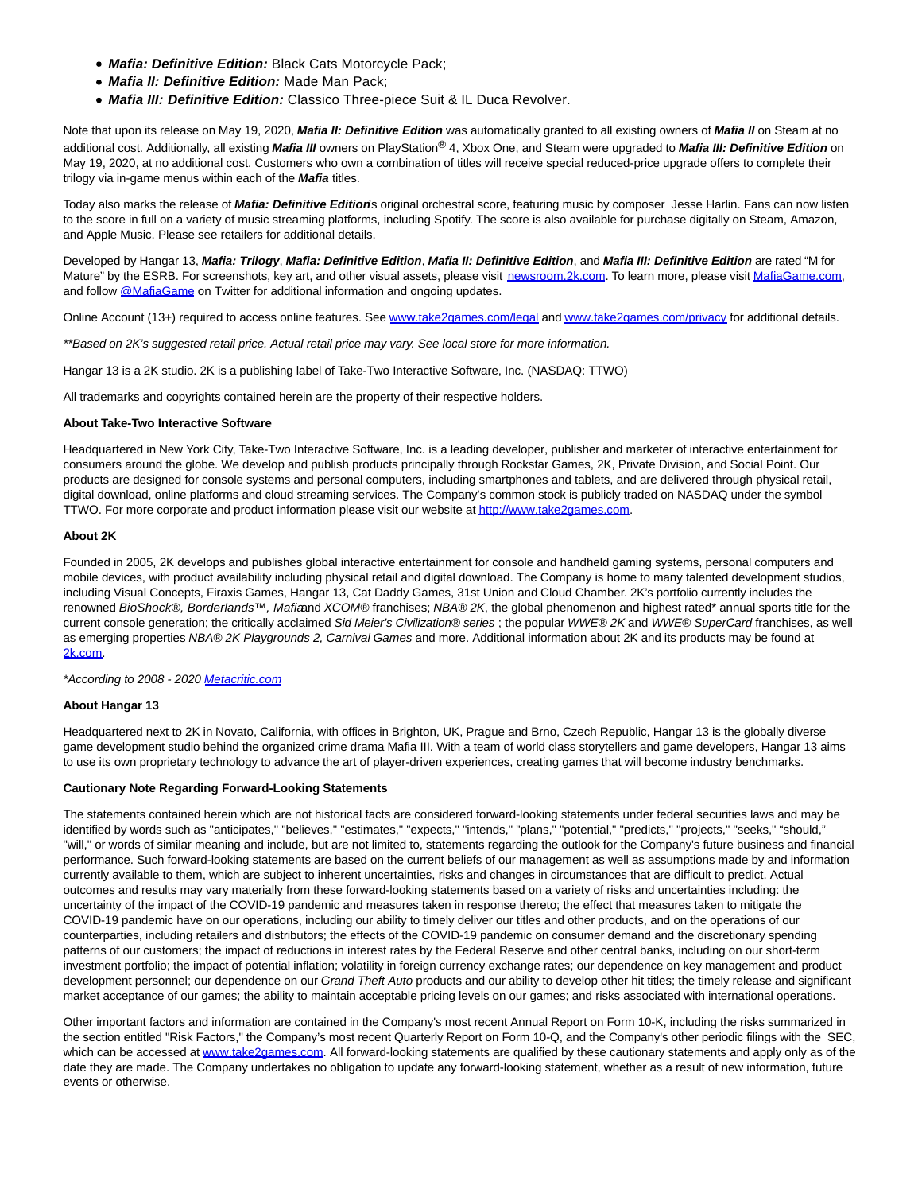- **Mafia: Definitive Edition:** Black Cats Motorcycle Pack;
- **Mafia II: Definitive Edition:** Made Man Pack;
- **Mafia III: Definitive Edition:** Classico Three-piece Suit & IL Duca Revolver.

Note that upon its release on May 19, 2020, **Mafia II: Definitive Edition** was automatically granted to all existing owners of **Mafia II** on Steam at no additional cost. Additionally, all existing **Mafia III** owners on PlayStation® 4, Xbox One, and Steam were upgraded to **Mafia III: Definitive Edition** on May 19, 2020, at no additional cost. Customers who own a combination of titles will receive special reduced-price upgrade offers to complete their trilogy via in-game menus within each of the **Mafia** titles.

Today also marks the release of **Mafia: Definitive Edition**'s original orchestral score, featuring music by composer Jesse Harlin. Fans can now listen to the score in full on a variety of music streaming platforms, including Spotify. The score is also available for purchase digitally on Steam, Amazon, and Apple Music. Please see retailers for additional details.

Developed by Hangar 13, **Mafia: Trilogy**, **Mafia: Definitive Edition**, **Mafia II: Definitive Edition**, and **Mafia III: Definitive Edition** are rated "M for Mature" by the ESRB. For screenshots, key art, and other visual assets, please visit [newsroom.2k.com.](https://cts.businesswire.com/ct/CT?id=smartlink&url=https%3A%2F%2Fnewsroom.2k.com%2Fresources&esheet=52293829&newsitemid=20200925005048&lan=en-US&anchor=newsroom.2k.com&index=5&md5=1ae49b870673003e8f584ddbe2106ac9) To learn more, please visi[t MafiaGame.com,](https://cts.businesswire.com/ct/CT?id=smartlink&url=http%3A%2F%2Fwww.mafiagame.com%2F&esheet=52293829&newsitemid=20200925005048&lan=en-US&anchor=MafiaGame.com&index=6&md5=4a77b34f0a1ce4c9f261aef7ce2669e1) and follow [@MafiaGame o](https://cts.businesswire.com/ct/CT?id=smartlink&url=https%3A%2F%2Ftwitter.com%2Fmafiagame&esheet=52293829&newsitemid=20200925005048&lan=en-US&anchor=%40MafiaGame&index=7&md5=2ad06446815abedd04b5f17945fdba0a)n Twitter for additional information and ongoing updates.

Online Account (13+) required to access online features. See [www.take2games.com/legal a](https://cts.businesswire.com/ct/CT?id=smartlink&url=http%3A%2F%2Fwww.take2games.com%2Flegal&esheet=52293829&newsitemid=20200925005048&lan=en-US&anchor=www.take2games.com%2Flegal&index=8&md5=541fc662e788c14a60257d1181324299)n[d www.take2games.com/privacy f](https://cts.businesswire.com/ct/CT?id=smartlink&url=http%3A%2F%2Fwww.take2games.com%2Fprivacy&esheet=52293829&newsitemid=20200925005048&lan=en-US&anchor=www.take2games.com%2Fprivacy&index=9&md5=7c630f553f5ed8079d47f746a55f04e1)or additional details.

\*\*Based on 2K's suggested retail price. Actual retail price may vary. See local store for more information.

Hangar 13 is a 2K studio. 2K is a publishing label of Take-Two Interactive Software, Inc. (NASDAQ: TTWO)

All trademarks and copyrights contained herein are the property of their respective holders.

#### **About Take-Two Interactive Software**

Headquartered in New York City, Take-Two Interactive Software, Inc. is a leading developer, publisher and marketer of interactive entertainment for consumers around the globe. We develop and publish products principally through Rockstar Games, 2K, Private Division, and Social Point. Our products are designed for console systems and personal computers, including smartphones and tablets, and are delivered through physical retail, digital download, online platforms and cloud streaming services. The Company's common stock is publicly traded on NASDAQ under the symbol TTWO. For more corporate and product information please visit our website a[t http://www.take2games.com.](https://cts.businesswire.com/ct/CT?id=smartlink&url=http%3A%2F%2Fwww.take2games.com&esheet=52293829&newsitemid=20200925005048&lan=en-US&anchor=http%3A%2F%2Fwww.take2games.com&index=10&md5=601612bb28a69bba5be3f83895979453)

### **About 2K**

Founded in 2005, 2K develops and publishes global interactive entertainment for console and handheld gaming systems, personal computers and mobile devices, with product availability including physical retail and digital download. The Company is home to many talented development studios, including Visual Concepts, Firaxis Games, Hangar 13, Cat Daddy Games, 31st Union and Cloud Chamber. 2K's portfolio currently includes the renowned BioShock®, Borderlands™, Mafia nd XCOM® franchises; NBA® 2K, the global phenomenon and highest rated\* annual sports title for the current console generation; the critically acclaimed Sid Meier's Civilization® series ; the popular WWE® 2K and WWE® SuperCard franchises, as well as emerging properties NBA® 2K Playgrounds 2, Carnival Games and more. Additional information about 2K and its products may be found at [2k.com.](https://cts.businesswire.com/ct/CT?id=smartlink&url=http%3A%2F%2Fwww.2k.com&esheet=52293829&newsitemid=20200925005048&lan=en-US&anchor=2k.com&index=11&md5=b5fc1efc1762fe22ac63b950573df3d1)

\*According to 2008 - 2020 [Metacritic.com](http://metacritic.com/)

### **About Hangar 13**

Headquartered next to 2K in Novato, California, with offices in Brighton, UK, Prague and Brno, Czech Republic, Hangar 13 is the globally diverse game development studio behind the organized crime drama Mafia III. With a team of world class storytellers and game developers, Hangar 13 aims to use its own proprietary technology to advance the art of player-driven experiences, creating games that will become industry benchmarks.

### **Cautionary Note Regarding Forward-Looking Statements**

The statements contained herein which are not historical facts are considered forward-looking statements under federal securities laws and may be identified by words such as "anticipates," "believes," "estimates," "expects," "intends," "plans," "potential," "predicts," "projects," "seeks," "should," "will," or words of similar meaning and include, but are not limited to, statements regarding the outlook for the Company's future business and financial performance. Such forward-looking statements are based on the current beliefs of our management as well as assumptions made by and information currently available to them, which are subject to inherent uncertainties, risks and changes in circumstances that are difficult to predict. Actual outcomes and results may vary materially from these forward-looking statements based on a variety of risks and uncertainties including: the uncertainty of the impact of the COVID-19 pandemic and measures taken in response thereto; the effect that measures taken to mitigate the COVID-19 pandemic have on our operations, including our ability to timely deliver our titles and other products, and on the operations of our counterparties, including retailers and distributors; the effects of the COVID-19 pandemic on consumer demand and the discretionary spending patterns of our customers; the impact of reductions in interest rates by the Federal Reserve and other central banks, including on our short-term investment portfolio; the impact of potential inflation; volatility in foreign currency exchange rates; our dependence on key management and product development personnel; our dependence on our Grand Theft Auto products and our ability to develop other hit titles; the timely release and significant market acceptance of our games; the ability to maintain acceptable pricing levels on our games; and risks associated with international operations.

Other important factors and information are contained in the Company's most recent Annual Report on Form 10-K, including the risks summarized in the section entitled "Risk Factors," the Company's most recent Quarterly Report on Form 10-Q, and the Company's other periodic filings with the SEC, which can be accessed at [www.take2games.com.](https://cts.businesswire.com/ct/CT?id=smartlink&url=http%3A%2F%2Fwww.take2games.com&esheet=52293829&newsitemid=20200925005048&lan=en-US&anchor=www.take2games.com&index=12&md5=147be4bef9064cb6b73a631965c6d3c6) All forward-looking statements are qualified by these cautionary statements and apply only as of the date they are made. The Company undertakes no obligation to update any forward-looking statement, whether as a result of new information, future events or otherwise.